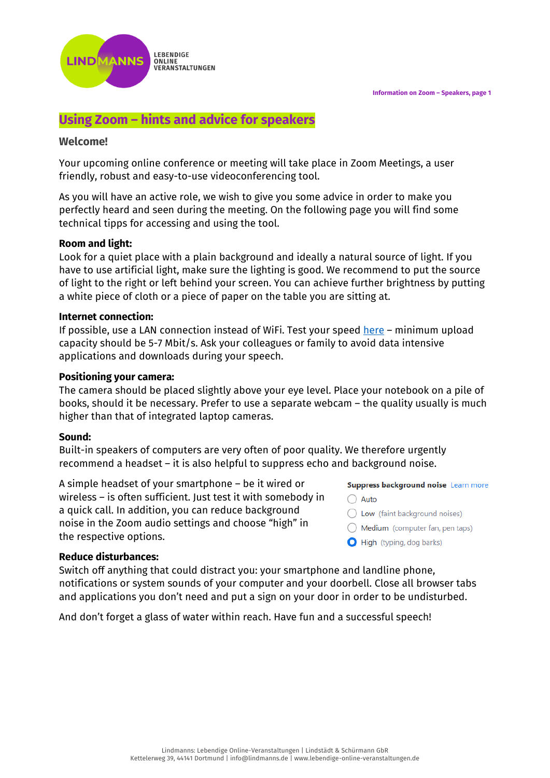**Information on Zoom – Speakers, page 1**



# **Using Zoom – hints and advice for speakers**

# **Welcome!**

Your upcoming online conference or meeting will take place in Zoom Meetings, a user friendly, robust and easy-to-use videoconferencing tool.

As you will have an active role, we wish to give you some advice in order to make you perfectly heard and seen during the meeting. On the following page you will find some technical tipps for accessing and using the tool.

# **Room and light:**

Look for a quiet place with a plain background and ideally a natural source of light. If you have to use artificial light, make sure the lighting is good. We recommend to put the source of light to the right or left behind your screen. You can achieve further brightness by putting a white piece of cloth or a piece of paper on the table you are sitting at.

# **Internet connection:**

If possible, use a LAN connection instead of WiFi. Test your speed [here](http://boxcast.speedtestcustom.com/) – minimum upload capacity should be 5-7 Mbit/s. Ask your colleagues or family to avoid data intensive applications and downloads during your speech.

# **Positioning your camera:**

The camera should be placed slightly above your eye level. Place your notebook on a pile of books, should it be necessary. Prefer to use a separate webcam – the quality usually is much higher than that of integrated laptop cameras.

# **Sound:**

Built-in speakers of computers are very often of poor quality. We therefore urgently recommend a headset – it is also helpful to suppress echo and background noise.

A simple headset of your smartphone – be it wired or wireless – is often sufficient. Just test it with somebody in a quick call. In addition, you can reduce background noise in the Zoom audio settings and choose "high" in the respective options.

# Suppress background noise Learn more

- $\bigcap$  Auto
- $\bigcirc$  Low (faint background noises)
- $\bigcirc$  Medium (computer fan, pen taps)
- High (typing, dog barks)

# **Reduce disturbances:**

Switch off anything that could distract you: your smartphone and landline phone, notifications or system sounds of your computer and your doorbell. Close all browser tabs and applications you don't need and put a sign on your door in order to be undisturbed.

And don't forget a glass of water within reach. Have fun and a successful speech!